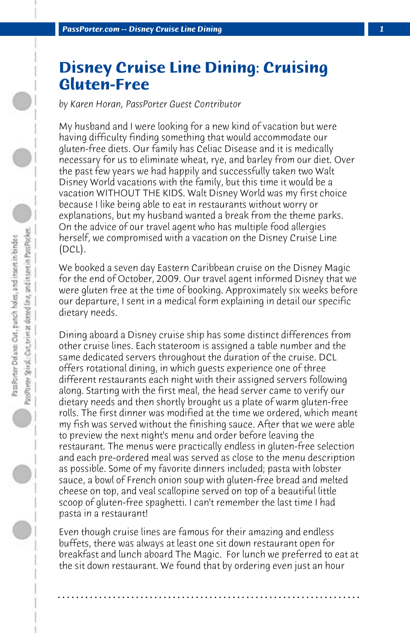## **Disney Cruise Line Dining: Cruising Gluten-Free**

*by Karen Horan, PassPorter Guest Contributor*

My husband and I were looking for a new kind of vacation but were having difficulty finding something that would accommodate our gluten-free diets. Our family has Celiac Disease and it is medically necessary for us to eliminate wheat, rye, and barley from our diet. Over the past few years we had happily and successfully taken two Walt Disney World vacations with the family, but this time it would be a vacation WITHOUT THE KIDS. Walt Disney World was my first choice because I like being able to eat in restaurants without worry or explanations, but my husband wanted a break from the theme parks. On the advice of our travel agent who has multiple food allergies herself, we compromised with a vacation on the Disney Cruise Line (DCL).

We booked a seven day Eastern Caribbean cruise on the Disney Magic for the end of October, 2009. Our travel agent informed Disney that we were gluten free at the time of booking. Approximately six weeks before our departure, I sent in a medical form explaining in detail our specific dietary needs.

Dining aboard a Disney cruise ship has some distinct differences from other cruise lines. Each stateroom is assigned a table number and the same dedicated servers throughout the duration of the cruise. DCL offers rotational dining, in which guests experience one of three different restaurants each night with their assigned servers following along. Starting with the first meal, the head server came to verify our dietary needs and then shortly brought us a plate of warm gluten-free rolls. The first dinner was modified at the time we ordered, which meant my fish was served without the finishing sauce. After that we were able to preview the next night's menu and order before leaving the restaurant. The menus were practically endless in gluten-free selection and each pre-ordered meal was served as close to the menu description as possible. Some of my favorite dinners included; pasta with lobster sauce, a bowl of French onion soup with gluten-free bread and melted cheese on top, and veal scallopine served on top of a beautiful little scoop of gluten-free spaghetti. I can't remember the last time I had pasta in a restaurant!

Even though cruise lines are famous for their amazing and endless buffets, there was always at least one sit down restaurant open for breakfast and lunch aboard The Magic. For lunch we preferred to eat at the sit down restaurant. We found that by ordering even just an hour

**. . . . . . . . . . . . . . . . . . . . . . . . . . . . . . . . . . . . . . . . . . . . . . . . . . . . . . . . . . . . . . . . . .**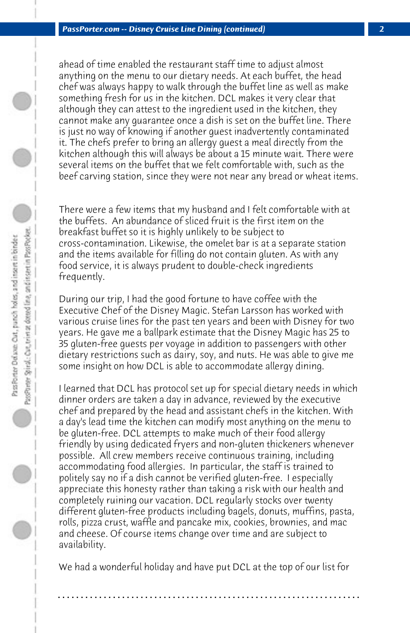ahead of time enabled the restaurant staff time to adjust almost anything on the menu to our dietary needs. At each buffet, the head chef was always happy to walk through the buffet line as well as make something fresh for us in the kitchen. DCL makes it very clear that although they can attest to the ingredient used in the kitchen, they cannot make any guarantee once a dish is set on the buffet line. There is just no way of knowing if another guest inadvertently contaminated it. The chefs prefer to bring an allergy guest a meal directly from the kitchen although this will always be about a 15 minute wait. There were several items on the buffet that we felt comfortable with, such as the beef carving station, since they were not near any bread or wheat items.

There were a few items that my husband and I felt comfortable with at the buffets. An abundance of sliced fruit is the first item on the breakfast buffet so it is highly unlikely to be subject to cross-contamination. Likewise, the omelet bar is at a separate station and the items available for filling do not contain gluten. As with any food service, it is always prudent to double-check ingredients frequently.

During our trip, I had the good fortune to have coffee with the Executive Chef of the Disney Magic. Stefan Larsson has worked with various cruise lines for the past ten years and been with Disney for two years. He gave me a ballpark estimate that the Disney Magic has 25 to 35 gluten-free guests per voyage in addition to passengers with other dietary restrictions such as dairy, soy, and nuts. He was able to give me some insight on how DCL is able to accommodate allergy dining.

I learned that DCL has protocol set up for special dietary needs in which dinner orders are taken a day in advance, reviewed by the executive chef and prepared by the head and assistant chefs in the kitchen. With a day's lead time the kitchen can modify most anything on the menu to be gluten-free. DCL attempts to make much of their food allergy friendly by using dedicated fryers and non-gluten thickeners whenever possible. All crew members receive continuous training, including accommodating food allergies. In particular, the staff is trained to politely say no if a dish cannot be verified gluten-free. I especially appreciate this honesty rather than taking a risk with our health and completely ruining our vacation. DCL regularly stocks over twenty different gluten-free products including bagels, donuts, muffins, pasta, rolls, pizza crust, waffle and pancake mix, cookies, brownies, and mac and cheese. Of course items change over time and are subject to availability.

We had a wonderful holiday and have put DCL at the top of our list for

**. . . . . . . . . . . . . . . . . . . . . . . . . . . . . . . . . . . . . . . . . . . . . . . . . . . . . . . . . . . . . . . . . .**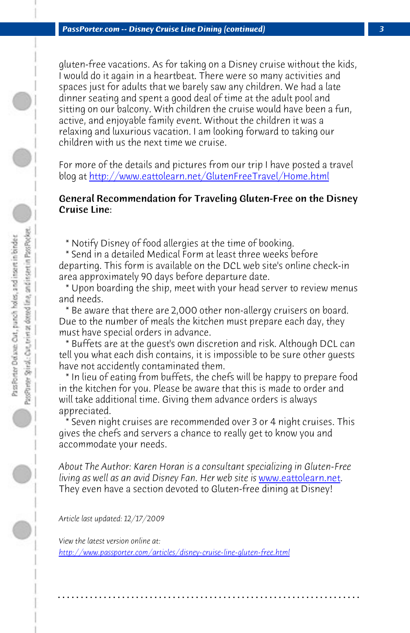*PassPorter.com -- Disney Cruise Line Dining (continued) 3*

gluten-free vacations. As for taking on a Disney cruise without the kids, I would do it again in a heartbeat. There were so many activities and spaces just for adults that we barely saw any children. We had a late dinner seating and spent a good deal of time at the adult pool and sitting on our balcony. With children the cruise would have been a fun, active, and enjoyable family event. Without the children it was a relaxing and luxurious vacation. I am looking forward to taking our children with us the next time we cruise.

For more of the details and pictures from our trip I have posted a travel blog at http://www.eattolearn.net/GlutenFreeTravel/Home.html

## General Recommendation for Traveling Gluten-Free on the Disney Cruise Line:

\* Notify Disney of food allergies at the time of booking.

 \* Send in a detailed Medical Form at least three weeks before departing. This form is available on the DCL web site's online check-in area approximately 90 days before departure date.

 \* Upon boarding the ship, meet with your hea[d server to review me](http://www.eattolearn.net/)nus and needs.

 \* Be aware that there are 2,000 other non-allergy cruisers on board. Due to the number of meals the kitchen must prepare each day, they must have special orders in advance.

 \* Buffets are at the guest's own discretion and risk. Although DCL can tell you what each dish contains, it is impossible to be sure other guests [have not accidently contaminated them.](http://www.passporter.com/articles/disney-cruise-line-gluten-free.php) 

 \* In lieu of eating from buffets, the chefs will be happy to prepare food in the kitchen for you. Please be aware that this is made to order and will take additional time. Giving them advance orders is always appreciated.

Seven night cruises are recommended over 3 or 4 night cruises. This gives the chefs and servers a chance to really get to know you and accommodate your needs.

*About The Author: Karen Horan is a consultant specializing in Gluten-Free living as well as an avid Disney Fan. Her web site is* www.eattolearn.net. They even have a section devoted to Gluten-free dining at Disney!

**. . . . . . . . . . . . . . . . . . . . . . . . . . . . . . . . . . . . . . . . . . . . . . . . . . . . . . . . . . . . . . . . . .**

*Article last updated: 12/17/2009*

*View the latest version online at: http://www.passporter.com/articles/disney-cruise-line-gluten-free.html*

0